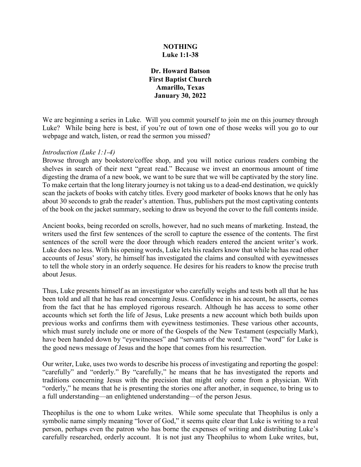### **NOTHING Luke 1:1-38**

**Dr. Howard Batson First Baptist Church Amarillo, Texas January 30, 2022**

We are beginning a series in Luke. Will you commit yourself to join me on this journey through Luke? While being here is best, if you're out of town one of those weeks will you go to our webpage and watch, listen, or read the sermon you missed?

#### *Introduction (Luke 1:1-4)*

Browse through any bookstore/coffee shop, and you will notice curious readers combing the shelves in search of their next "great read." Because we invest an enormous amount of time digesting the drama of a new book, we want to be sure that we will be captivated by the story line. To make certain that the long literary journey is not taking us to a dead-end destination, we quickly scan the jackets of books with catchy titles. Every good marketer of books knows that he only has about 30 seconds to grab the reader's attention. Thus, publishers put the most captivating contents of the book on the jacket summary, seeking to draw us beyond the cover to the full contents inside.

Ancient books, being recorded on scrolls, however, had no such means of marketing. Instead, the writers used the first few sentences of the scroll to capture the essence of the contents. The first sentences of the scroll were the door through which readers entered the ancient writer's work. Luke does no less. With his opening words, Luke lets his readers know that while he has read other accounts of Jesus' story, he himself has investigated the claims and consulted with eyewitnesses to tell the whole story in an orderly sequence. He desires for his readers to know the precise truth about Jesus.

Thus, Luke presents himself as an investigator who carefully weighs and tests both all that he has been told and all that he has read concerning Jesus. Confidence in his account, he asserts, comes from the fact that he has employed rigorous research. Although he has access to some other accounts which set forth the life of Jesus, Luke presents a new account which both builds upon previous works and confirms them with eyewitness testimonies. These various other accounts, which must surely include one or more of the Gospels of the New Testament (especially Mark), have been handed down by "eyewitnesses" and "servants of the word." The "word" for Luke is the good news message of Jesus and the hope that comes from his resurrection.

Our writer, Luke, uses two words to describe his process of investigating and reporting the gospel: "carefully" and "orderly." By "carefully," he means that he has investigated the reports and traditions concerning Jesus with the precision that might only come from a physician. With "orderly," he means that he is presenting the stories one after another, in sequence, to bring us to a full understanding—an enlightened understanding—of the person Jesus.

Theophilus is the one to whom Luke writes. While some speculate that Theophilus is only a symbolic name simply meaning "lover of God," it seems quite clear that Luke is writing to a real person, perhaps even the patron who has borne the expenses of writing and distributing Luke's carefully researched, orderly account. It is not just any Theophilus to whom Luke writes, but,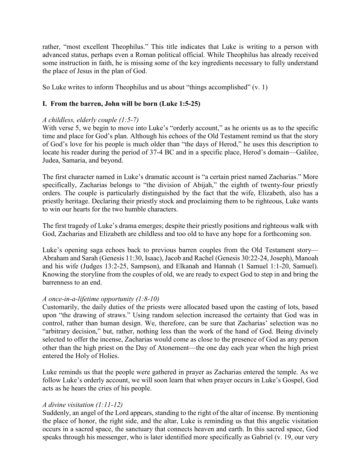rather, "most excellent Theophilus." This title indicates that Luke is writing to a person with advanced status, perhaps even a Roman political official. While Theophilus has already received some instruction in faith, he is missing some of the key ingredients necessary to fully understand the place of Jesus in the plan of God.

So Luke writes to inform Theophilus and us about "things accomplished" (v. 1)

# **I. From the barren, John will be born (Luke 1:5-25)**

## *A childless, elderly couple (1:5-7)*

With verse 5, we begin to move into Luke's "orderly account," as he orients us as to the specific time and place for God's plan. Although his echoes of the Old Testament remind us that the story of God's love for his people is much older than "the days of Herod," he uses this description to locate his reader during the period of 37-4 BC and in a specific place, Herod's domain—Galilee, Judea, Samaria, and beyond.

The first character named in Luke's dramatic account is "a certain priest named Zacharias." More specifically, Zacharias belongs to "the division of Abijah," the eighth of twenty-four priestly orders. The couple is particularly distinguished by the fact that the wife, Elizabeth, also has a priestly heritage. Declaring their priestly stock and proclaiming them to be righteous, Luke wants to win our hearts for the two humble characters.

The first tragedy of Luke's drama emerges; despite their priestly positions and righteous walk with God, Zacharias and Elizabeth are childless and too old to have any hope for a forthcoming son.

Luke's opening saga echoes back to previous barren couples from the Old Testament story— Abraham and Sarah (Genesis 11:30, Isaac), Jacob and Rachel (Genesis 30:22-24, Joseph), Manoah and his wife (Judges 13:2-25, Sampson), and Elkanah and Hannah (1 Samuel 1:1-20, Samuel). Knowing the storyline from the couples of old, we are ready to expect God to step in and bring the barrenness to an end.

## *A once-in-a-lifetime opportunity (1:8-10)*

Customarily, the daily duties of the priests were allocated based upon the casting of lots, based upon "the drawing of straws." Using random selection increased the certainty that God was in control, rather than human design. We, therefore, can be sure that Zacharias' selection was no "arbitrary decision," but, rather, nothing less than the work of the hand of God. Being divinely selected to offer the incense, Zacharias would come as close to the presence of God as any person other than the high priest on the Day of Atonement—the one day each year when the high priest entered the Holy of Holies.

Luke reminds us that the people were gathered in prayer as Zacharias entered the temple. As we follow Luke's orderly account, we will soon learn that when prayer occurs in Luke's Gospel, God acts as he hears the cries of his people.

## *A divine visitation (1:11-12)*

Suddenly, an angel of the Lord appears, standing to the right of the altar of incense. By mentioning the place of honor, the right side, and the altar, Luke is reminding us that this angelic visitation occurs in a sacred space, the sanctuary that connects heaven and earth. In this sacred space, God speaks through his messenger, who is later identified more specifically as Gabriel (v. 19, our very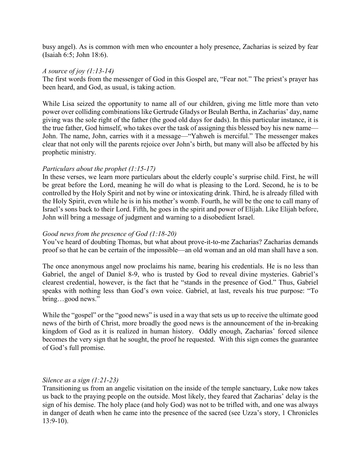busy angel). As is common with men who encounter a holy presence, Zacharias is seized by fear (Isaiah 6:5; John 18:6).

#### *A source of joy (1:13-14)*

The first words from the messenger of God in this Gospel are, "Fear not." The priest's prayer has been heard, and God, as usual, is taking action.

While Lisa seized the opportunity to name all of our children, giving me little more than veto power over colliding combinations like Gertrude Gladys or Beulah Bertha, in Zacharias' day, name giving was the sole right of the father (the good old days for dads). In this particular instance, it is the true father, God himself, who takes over the task of assigning this blessed boy his new name— John. The name, John, carries with it a message—"Yahweh is merciful." The messenger makes clear that not only will the parents rejoice over John's birth, but many will also be affected by his prophetic ministry.

## *Particulars about the prophet (1:15-17)*

In these verses, we learn more particulars about the elderly couple's surprise child. First, he will be great before the Lord, meaning he will do what is pleasing to the Lord. Second, he is to be controlled by the Holy Spirit and not by wine or intoxicating drink. Third, he is already filled with the Holy Spirit, even while he is in his mother's womb. Fourth, he will be the one to call many of Israel's sons back to their Lord. Fifth, he goes in the spirit and power of Elijah. Like Elijah before, John will bring a message of judgment and warning to a disobedient Israel.

## *Good news from the presence of God (1:18-20)*

You've heard of doubting Thomas, but what about prove-it-to-me Zacharias? Zacharias demands proof so that he can be certain of the impossible—an old woman and an old man shall have a son.

The once anonymous angel now proclaims his name, bearing his credentials. He is no less than Gabriel, the angel of Daniel 8-9, who is trusted by God to reveal divine mysteries. Gabriel's clearest credential, however, is the fact that he "stands in the presence of God." Thus, Gabriel speaks with nothing less than God's own voice. Gabriel, at last, reveals his true purpose: "To bring…good news."

While the "gospel" or the "good news" is used in a way that sets us up to receive the ultimate good news of the birth of Christ, more broadly the good news is the announcement of the in-breaking kingdom of God as it is realized in human history. Oddly enough, Zacharias' forced silence becomes the very sign that he sought, the proof he requested. With this sign comes the guarantee of God's full promise.

#### *Silence as a sign (1:21-23)*

Transitioning us from an angelic visitation on the inside of the temple sanctuary, Luke now takes us back to the praying people on the outside. Most likely, they feared that Zacharias' delay is the sign of his demise. The holy place (and holy God) was not to be trifled with, and one was always in danger of death when he came into the presence of the sacred (see Uzza's story, 1 Chronicles 13:9-10).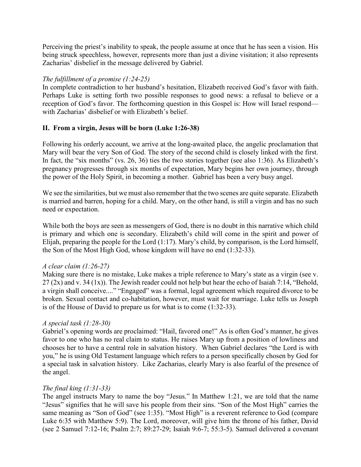Perceiving the priest's inability to speak, the people assume at once that he has seen a vision. His being struck speechless, however, represents more than just a divine visitation; it also represents Zacharias' disbelief in the message delivered by Gabriel.

## *The fulfillment of a promise (1:24-25)*

In complete contradiction to her husband's hesitation, Elizabeth received God's favor with faith. Perhaps Luke is setting forth two possible responses to good news: a refusal to believe or a reception of God's favor. The forthcoming question in this Gospel is: How will Israel respond with Zacharias' disbelief or with Elizabeth's belief.

## **II. From a virgin, Jesus will be born (Luke 1:26-38)**

Following his orderly account, we arrive at the long-awaited place, the angelic proclamation that Mary will bear the very Son of God. The story of the second child is closely linked with the first. In fact, the "six months" (vs. 26, 36) ties the two stories together (see also 1:36). As Elizabeth's pregnancy progresses through six months of expectation, Mary begins her own journey, through the power of the Holy Spirit, in becoming a mother. Gabriel has been a very busy angel.

We see the similarities, but we must also remember that the two scenes are quite separate. Elizabeth is married and barren, hoping for a child. Mary, on the other hand, is still a virgin and has no such need or expectation.

While both the boys are seen as messengers of God, there is no doubt in this narrative which child is primary and which one is secondary. Elizabeth's child will come in the spirit and power of Elijah, preparing the people for the Lord (1:17). Mary's child, by comparison, is the Lord himself, the Son of the Most High God, whose kingdom will have no end (1:32-33).

#### *A clear claim (1:26-27)*

Making sure there is no mistake, Luke makes a triple reference to Mary's state as a virgin (see v. 27 (2x) and v. 34 (1x)). The Jewish reader could not help but hear the echo of Isaiah 7:14, "Behold, a virgin shall conceive...." "Engaged" was a formal, legal agreement which required divorce to be broken. Sexual contact and co-habitation, however, must wait for marriage. Luke tells us Joseph is of the House of David to prepare us for what is to come (1:32-33).

#### *A special task (1:28-30)*

Gabriel's opening words are proclaimed: "Hail, favored one!" As is often God's manner, he gives favor to one who has no real claim to status. He raises Mary up from a position of lowliness and chooses her to have a central role in salvation history. When Gabriel declares "the Lord is with you," he is using Old Testament language which refers to a person specifically chosen by God for a special task in salvation history. Like Zacharias, clearly Mary is also fearful of the presence of the angel.

#### *The final king (1:31-33)*

The angel instructs Mary to name the boy "Jesus." In Matthew 1:21, we are told that the name "Jesus" signifies that he will save his people from their sins. "Son of the Most High" carries the same meaning as "Son of God" (see 1:35). "Most High" is a reverent reference to God (compare Luke 6:35 with Matthew 5:9). The Lord, moreover, will give him the throne of his father, David (see 2 Samuel 7:12-16; Psalm 2:7; 89:27-29; Isaiah 9:6-7; 55:3-5). Samuel delivered a covenant